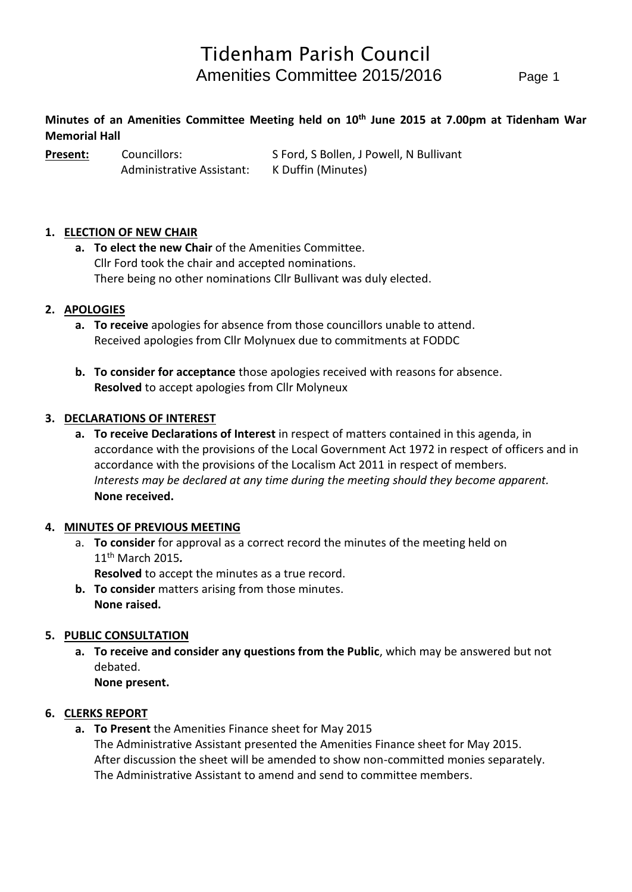## **Minutes of an Amenities Committee Meeting held on 10th June 2015 at 7.00pm at Tidenham War Memorial Hall**

**Present:** Councillors: S Ford, S Bollen, J Powell, N Bullivant Administrative Assistant: K Duffin (Minutes)

## **1. ELECTION OF NEW CHAIR**

**a. To elect the new Chair** of the Amenities Committee. Cllr Ford took the chair and accepted nominations. There being no other nominations Cllr Bullivant was duly elected.

#### **2. APOLOGIES**

- **a. To receive** apologies for absence from those councillors unable to attend. Received apologies from Cllr Molynuex due to commitments at FODDC
- **b. To consider for acceptance** those apologies received with reasons for absence. **Resolved** to accept apologies from Cllr Molyneux

#### **3. DECLARATIONS OF INTEREST**

**a. To receive Declarations of Interest** in respect of matters contained in this agenda, in accordance with the provisions of the Local Government Act 1972 in respect of officers and in accordance with the provisions of the Localism Act 2011 in respect of members. *Interests may be declared at any time during the meeting should they become apparent.* **None received.**

#### **4. MINUTES OF PREVIOUS MEETING**

- a. **To consider** for approval as a correct record the minutes of the meeting held on 11th March 2015*.*
	- **Resolved** to accept the minutes as a true record.
- **b. To consider** matters arising from those minutes. **None raised.**

#### **5. PUBLIC CONSULTATION**

**a. To receive and consider any questions from the Public**, which may be answered but not debated.

**None present.**

#### **6. CLERKS REPORT**

**a. To Present** the Amenities Finance sheet for May 2015 The Administrative Assistant presented the Amenities Finance sheet for May 2015. After discussion the sheet will be amended to show non-committed monies separately. The Administrative Assistant to amend and send to committee members.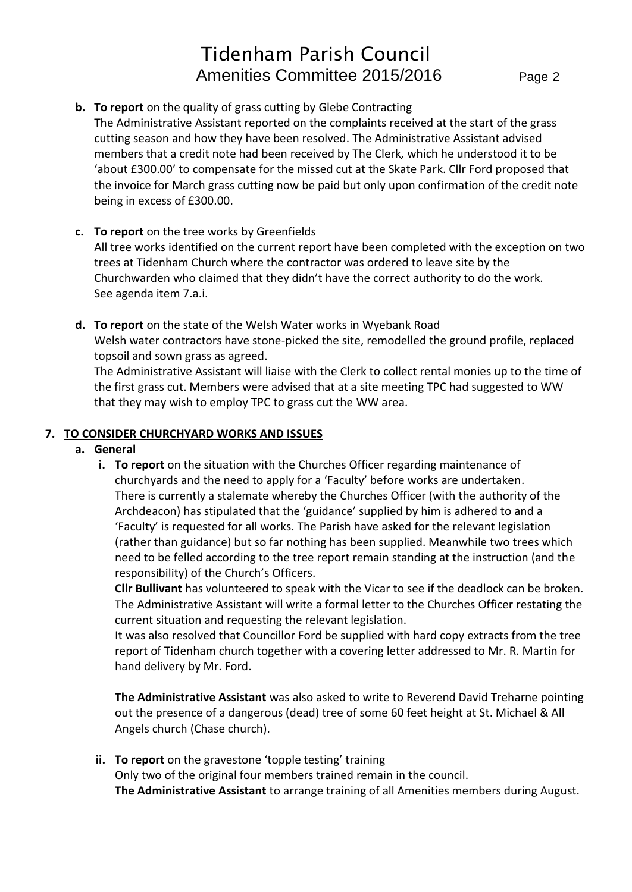## **b. To report** on the quality of grass cutting by Glebe Contracting

The Administrative Assistant reported on the complaints received at the start of the grass cutting season and how they have been resolved. The Administrative Assistant advised members that a credit note had been received by The Clerk*,* which he understood it to be 'about £300.00' to compensate for the missed cut at the Skate Park. Cllr Ford proposed that the invoice for March grass cutting now be paid but only upon confirmation of the credit note being in excess of £300.00.

## **c. To report** on the tree works by Greenfields

All tree works identified on the current report have been completed with the exception on two trees at Tidenham Church where the contractor was ordered to leave site by the Churchwarden who claimed that they didn't have the correct authority to do the work. See agenda item 7.a.i.

**d. To report** on the state of the Welsh Water works in Wyebank Road Welsh water contractors have stone-picked the site, remodelled the ground profile, replaced topsoil and sown grass as agreed.

The Administrative Assistant will liaise with the Clerk to collect rental monies up to the time of the first grass cut. Members were advised that at a site meeting TPC had suggested to WW that they may wish to employ TPC to grass cut the WW area.

#### **7. TO CONSIDER CHURCHYARD WORKS AND ISSUES**

#### **a. General**

**i. To report** on the situation with the Churches Officer regarding maintenance of churchyards and the need to apply for a 'Faculty' before works are undertaken. There is currently a stalemate whereby the Churches Officer (with the authority of the Archdeacon) has stipulated that the 'guidance' supplied by him is adhered to and a 'Faculty' is requested for all works. The Parish have asked for the relevant legislation (rather than guidance) but so far nothing has been supplied. Meanwhile two trees which need to be felled according to the tree report remain standing at the instruction (and the responsibility) of the Church's Officers.

**Cllr Bullivant** has volunteered to speak with the Vicar to see if the deadlock can be broken. The Administrative Assistant will write a formal letter to the Churches Officer restating the current situation and requesting the relevant legislation.

It was also resolved that Councillor Ford be supplied with hard copy extracts from the tree report of Tidenham church together with a covering letter addressed to Mr. R. Martin for hand delivery by Mr. Ford.

**The Administrative Assistant** was also asked to write to Reverend David Treharne pointing out the presence of a dangerous (dead) tree of some 60 feet height at St. Michael & All Angels church (Chase church).

**ii. To report** on the gravestone 'topple testing' training Only two of the original four members trained remain in the council. **The Administrative Assistant** to arrange training of all Amenities members during August.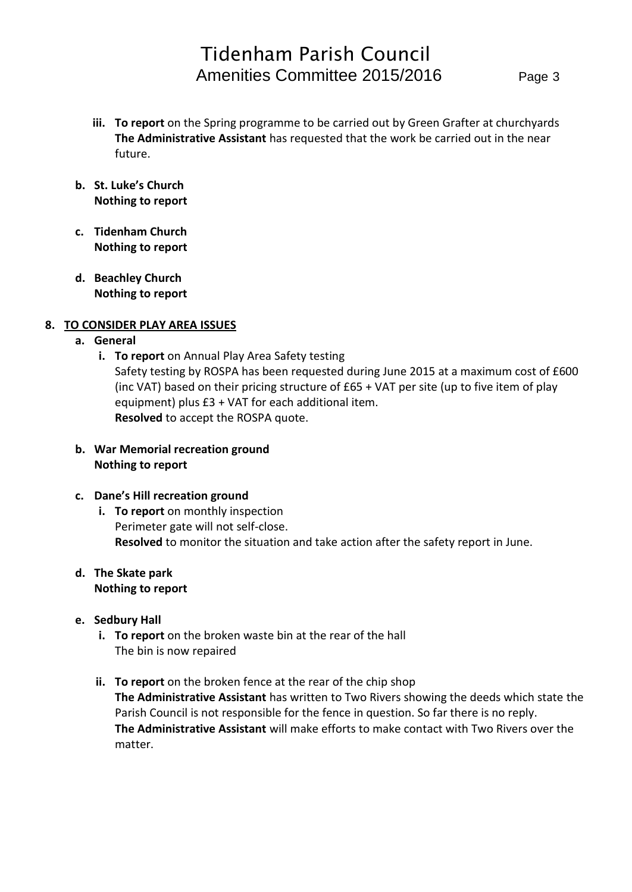- **iii. To report** on the Spring programme to be carried out by Green Grafter at churchyards **The Administrative Assistant** has requested that the work be carried out in the near future.
- **b. St. Luke's Church Nothing to report**
- **c. Tidenham Church Nothing to report**
- **d. Beachley Church Nothing to report**

## **8. TO CONSIDER PLAY AREA ISSUES**

- **a. General**
	- **i. To report** on Annual Play Area Safety testing Safety testing by ROSPA has been requested during June 2015 at a maximum cost of £600 (inc VAT) based on their pricing structure of £65 + VAT per site (up to five item of play equipment) plus £3 + VAT for each additional item. **Resolved** to accept the ROSPA quote.
- **b. War Memorial recreation ground Nothing to report**

## **c. Dane's Hill recreation ground**

**i. To report** on monthly inspection Perimeter gate will not self-close. **Resolved** to monitor the situation and take action after the safety report in June.

#### **d. The Skate park Nothing to report**

- **e. Sedbury Hall** 
	- **i. To report** on the broken waste bin at the rear of the hall The bin is now repaired
	- **ii. To report** on the broken fence at the rear of the chip shop **The Administrative Assistant** has written to Two Rivers showing the deeds which state the Parish Council is not responsible for the fence in question. So far there is no reply. **The Administrative Assistant** will make efforts to make contact with Two Rivers over the matter.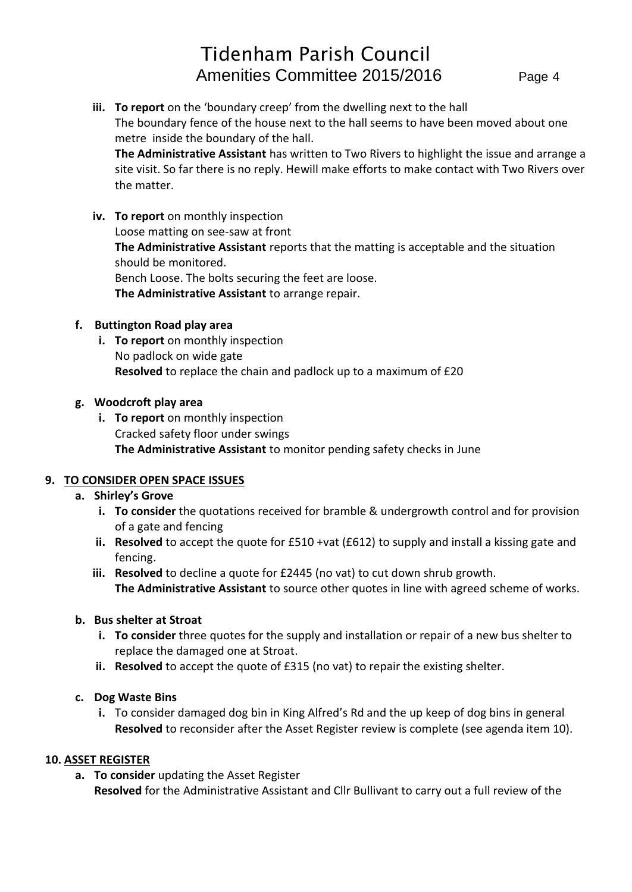**iii. To report** on the 'boundary creep' from the dwelling next to the hall The boundary fence of the house next to the hall seems to have been moved about one metre inside the boundary of the hall. **The Administrative Assistant** has written to Two Rivers to highlight the issue and arrange a

site visit. So far there is no reply. Hewill make efforts to make contact with Two Rivers over the matter.

**iv. To report** on monthly inspection Loose matting on see-saw at front **The Administrative Assistant** reports that the matting is acceptable and the situation should be monitored. Bench Loose. The bolts securing the feet are loose. **The Administrative Assistant** to arrange repair.

## **f. Buttington Road play area**

**i. To report** on monthly inspection No padlock on wide gate **Resolved** to replace the chain and padlock up to a maximum of £20

## **g. Woodcroft play area**

**i. To report** on monthly inspection Cracked safety floor under swings **The Administrative Assistant** to monitor pending safety checks in June

## **9. TO CONSIDER OPEN SPACE ISSUES**

- **a. Shirley's Grove**
	- **i. To consider** the quotations received for bramble & undergrowth control and for provision of a gate and fencing
	- **ii. Resolved** to accept the quote for £510 +vat (£612) to supply and install a kissing gate and fencing.
	- **iii. Resolved** to decline a quote for £2445 (no vat) to cut down shrub growth. **The Administrative Assistant** to source other quotes in line with agreed scheme of works.

## **b. Bus shelter at Stroat**

- **i. To consider** three quotes for the supply and installation or repair of a new bus shelter to replace the damaged one at Stroat.
- **ii. Resolved** to accept the quote of £315 (no vat) to repair the existing shelter.

## **c. Dog Waste Bins**

**i.** To consider damaged dog bin in King Alfred's Rd and the up keep of dog bins in general **Resolved** to reconsider after the Asset Register review is complete (see agenda item 10).

## **10. ASSET REGISTER**

- **a. To consider** updating the Asset Register
	- **Resolved** for the Administrative Assistant and Cllr Bullivant to carry out a full review of the